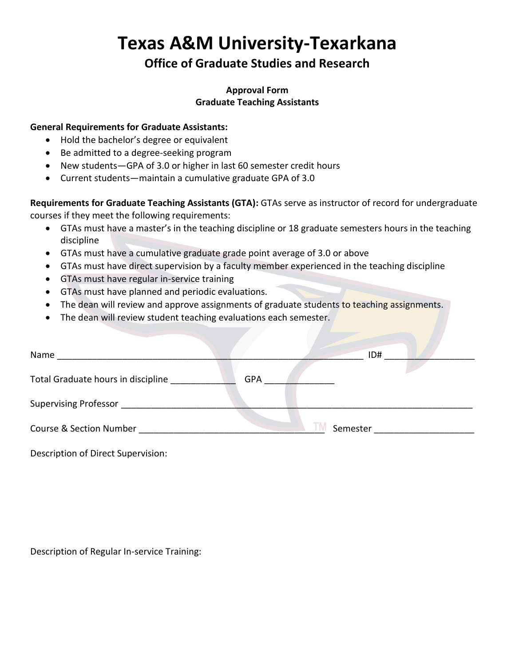# **Texas A&M University-Texarkana**

## **Office of Graduate Studies and Research**

#### **Approval Form Graduate Teaching Assistants**

#### **General Requirements for Graduate Assistants:**

- Hold the bachelor's degree or equivalent
- Be admitted to a degree-seeking program
- New students—GPA of 3.0 or higher in last 60 semester credit hours
- Current students—maintain a cumulative graduate GPA of 3.0

**Requirements for Graduate Teaching Assistants (GTA):** GTAs serve as instructor of record for undergraduate courses if they meet the following requirements:

- GTAs must have a master's in the teaching discipline or 18 graduate semesters hours in the teaching discipline
- GTAs must have a cumulative graduate grade point average of 3.0 or above
- GTAs must have direct supervision by a faculty member experienced in the teaching discipline
- GTAs must have regular in-service training
- GTAs must have planned and periodic evaluations.
- The dean will review and approve assignments of graduate students to teaching assignments.
- The dean will review student teaching evaluations each semester.

| Name                               |            |          | ID# |
|------------------------------------|------------|----------|-----|
| Total Graduate hours in discipline | <b>GPA</b> |          |     |
| Supervising Professor              |            |          |     |
| Course & Section Number            |            | Semester |     |

Description of Direct Supervision:

Description of Regular In-service Training: